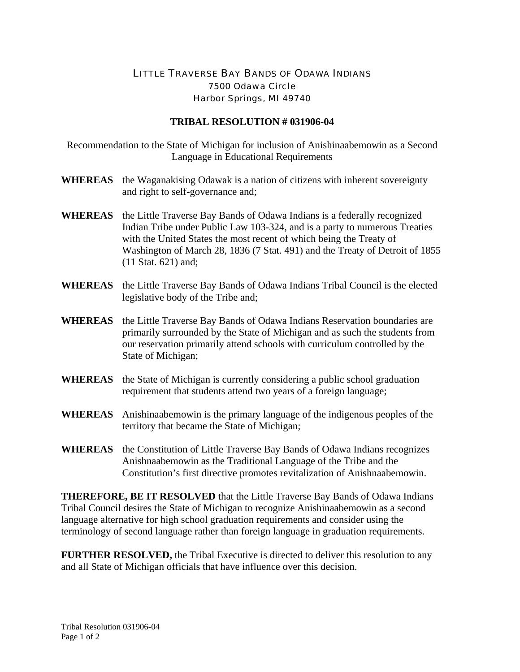## LITTLE TRAVERSE BAY BANDS OF ODAWA INDIANS 7500 Odawa Circle Harbor Springs, MI 49740

## **TRIBAL RESOLUTION # 031906-04**

Recommendation to the State of Michigan for inclusion of Anishinaabemowin as a Second Language in Educational Requirements

- **WHEREAS** the Waganakising Odawak is a nation of citizens with inherent sovereignty and right to self-governance and;
- **WHEREAS** the Little Traverse Bay Bands of Odawa Indians is a federally recognized Indian Tribe under Public Law 103-324, and is a party to numerous Treaties with the United States the most recent of which being the Treaty of Washington of March 28, 1836 (7 Stat. 491) and the Treaty of Detroit of 1855 (11 Stat. 621) and;
- **WHEREAS** the Little Traverse Bay Bands of Odawa Indians Tribal Council is the elected legislative body of the Tribe and;
- **WHEREAS** the Little Traverse Bay Bands of Odawa Indians Reservation boundaries are primarily surrounded by the State of Michigan and as such the students from our reservation primarily attend schools with curriculum controlled by the State of Michigan;
- **WHEREAS** the State of Michigan is currently considering a public school graduation requirement that students attend two years of a foreign language;
- **WHEREAS** Anishinaabemowin is the primary language of the indigenous peoples of the territory that became the State of Michigan;
- **WHEREAS** the Constitution of Little Traverse Bay Bands of Odawa Indians recognizes Anishnaabemowin as the Traditional Language of the Tribe and the Constitution's first directive promotes revitalization of Anishnaabemowin.

**THEREFORE, BE IT RESOLVED** that the Little Traverse Bay Bands of Odawa Indians Tribal Council desires the State of Michigan to recognize Anishinaabemowin as a second language alternative for high school graduation requirements and consider using the terminology of second language rather than foreign language in graduation requirements.

**FURTHER RESOLVED,** the Tribal Executive is directed to deliver this resolution to any and all State of Michigan officials that have influence over this decision.